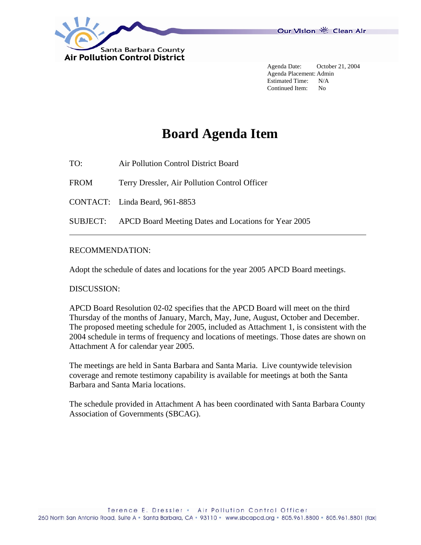

Our Vision 卷 Clean Air

 Agenda Date: October 21, 2004 Agenda Placement: Admin Estimated Time: N/A Continued Item: No

# **Board Agenda Item**

TO: Air Pollution Control District Board

FROM Terry Dressler, Air Pollution Control Officer

CONTACT: Linda Beard, 961-8853

SUBJECT: APCD Board Meeting Dates and Locations for Year 2005

### RECOMMENDATION:

Adopt the schedule of dates and locations for the year 2005 APCD Board meetings.

#### DISCUSSION:

 $\overline{a}$ 

APCD Board Resolution 02-02 specifies that the APCD Board will meet on the third Thursday of the months of January, March, May, June, August, October and December. The proposed meeting schedule for 2005, included as Attachment 1, is consistent with the 2004 schedule in terms of frequency and locations of meetings. Those dates are shown on Attachment A for calendar year 2005.

The meetings are held in Santa Barbara and Santa Maria. Live countywide television coverage and remote testimony capability is available for meetings at both the Santa Barbara and Santa Maria locations.

The schedule provided in Attachment A has been coordinated with Santa Barbara County Association of Governments (SBCAG).